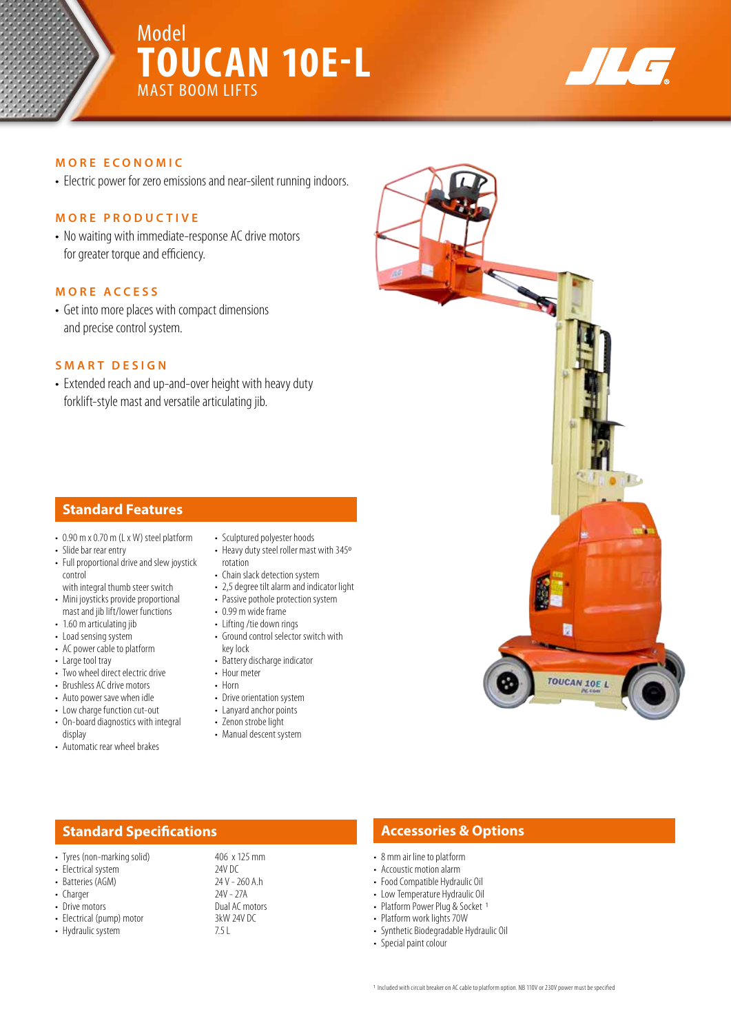## Model **TOUCAN 10E-L** MAST BOOM LIFTS



#### **MORE ECONOMIC**

• Electric power for zero emissions and near-silent running indoors.

#### **MORE PRODUCTIVE**

• No waiting with immediate-response AC drive motors for greater torque and efficiency.

#### **MORE ACCESS**

• Get into more places with compact dimensions and precise control system.

#### **SMART DESIGN**

• Extended reach and up-and-over height with heavy duty forklift-style mast and versatile articulating jib.

#### **Standard Features**

- 0.90 m x 0.70 m (L x W) steel platform
- Slide bar rear entry
- Full proportional drive and slew joystick control
- with integral thumb steer switch • Mini joysticks provide proportional mast and jib lift/lower functions
- 1.60 m articulating jib
- Load sensing system
- AC power cable to platform
- Large tool tray
- Two wheel direct electric drive
- Brushless AC drive motors
- Auto power save when idle
- Low charge function cut-out • On-board diagnostics with integral
- display
- Automatic rear wheel brakes
- Sculptured polyester hoods
- Heavy duty steel roller mast with 345º rotation
- Chain slack detection system
- 2,5 degree tilt alarm and indicator light • Passive pothole protection system
- 0.99 m wide frame
- Lifting /tie down rings
- Ground control selector switch with key lock
- Battery discharge indicator
- Hour meter
- Horn
- Drive orientation system
- Lanyard anchor points
- Zenon strobe light
- Manual descent system

### **Standard Specifications Accessories & Options**

- 8 mm air line to platform
- Accoustic motion alarm
- Food Compatible Hydraulic Oil
- Low Temperature Hydraulic Oil
- Platform Power Plug & Socket 1
- Platform work lights 70W
- Synthetic Biodegradable Hydraulic Oil
- Special paint colour



- 
- 
- 
- 
- 
- Electrical (pump) motor 3kW<br>• Hydraulic system 3.5 L • Hydraulic system
- Drive motors<br>• Electrical (pump) motor<br>• Electrical (pump) motor<br>3kW 24V DC
	-

#### • Tyres (non-marking solid) 406 x 125 mm • Electrical system 24V DC<br>• Batteries (AGM) 24V - 260 A.h • Batteries (AGM) 24 V - 260<br>• Charger 27A • Charger 24V - 27A<br>• Drive motors 24V - 27A